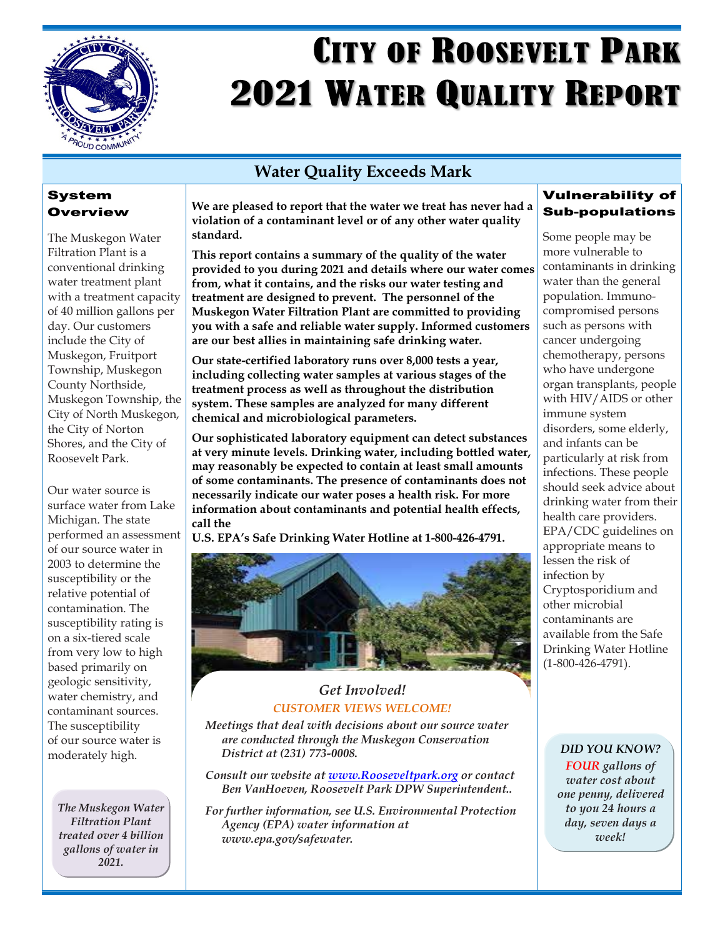

# **CITY OF ROOSEVELT PARK 2021 WATER QUALITY REPORT**

## **Water Quality Exceeds Mark**

## System Overview

The Muskegon Water Filtration Plant is a conventional drinking water treatment plant with a treatment capacity of 40 million gallons per day. Our customers include the City of Muskegon, Fruitport Township, Muskegon County Northside, Muskegon Township, the City of North Muskegon, the City of Norton Shores, and the City of Roosevelt Park.

Our water source is surface water from Lake Michigan. The state performed an assessment of our source water in 2003 to determine the susceptibility or the relative potential of contamination. The susceptibility rating is on a six-tiered scale from very low to high based primarily on geologic sensitivity, water chemistry, and contaminant sources. The susceptibility of our source water is moderately high.

*The Muskegon Water Filtration Plant treated over 4 billion gallons of water in 2021.*

**We are pleased to report that the water we treat has never had a violation of a contaminant level or of any other water quality standard.**

**This report contains a summary of the quality of the water provided to you during 2021 and details where our water comes from, what it contains, and the risks our water testing and treatment are designed to prevent. The personnel of the Muskegon Water Filtration Plant are committed to providing you with a safe and reliable water supply. Informed customers are our best allies in maintaining safe drinking water.**

**Our state-certified laboratory runs over 8,000 tests a year, including collecting water samples at various stages of the treatment process as well as throughout the distribution system. These samples are analyzed for many different chemical and microbiological parameters.**

**Our sophisticated laboratory equipment can detect substances at very minute levels. Drinking water, including bottled water, may reasonably be expected to contain at least small amounts of some contaminants. The presence of contaminants does not necessarily indicate our water poses a health risk. For more information about contaminants and potential health effects, call the** 

**U.S. EPA's Safe Drinking Water Hotline at 1-800-426-4791.**



## *Get Involved! CUSTOMER VIEWS WELCOME!*

*Meetings that deal with decisions about our source water are conducted through the Muskegon Conservation District at (231) 773-0008.*

*Consult our website at [www.Rooseveltpark.org](http://www.rooseveltpark.org/) or contact Ben VanHoeven, Roosevelt Park DPW Superintendent..*

*For further information, see U.S. Environmental Protection Agency (EPA) water information at [www.epa.gov/safewater.](http://www.epa.gov/safewater)*

## Vulnerability of Sub-populations

Some people may be more vulnerable to contaminants in drinking water than the general population. Immunocompromised persons such as persons with cancer undergoing chemotherapy, persons who have undergone organ transplants, people with HIV/AIDS or other immune system disorders, some elderly, and infants can be particularly at risk from infections. These people should seek advice about drinking water from their health care providers. EPA/CDC guidelines on appropriate means to lessen the risk of infection by Cryptosporidium and other microbial contaminants are available from the Safe Drinking Water Hotline (1-800-426-4791).

### *DID YOU KNOW?*

*FOUR gallons of water cost about one penny, delivered to you 24 hours a day, seven days a week!*